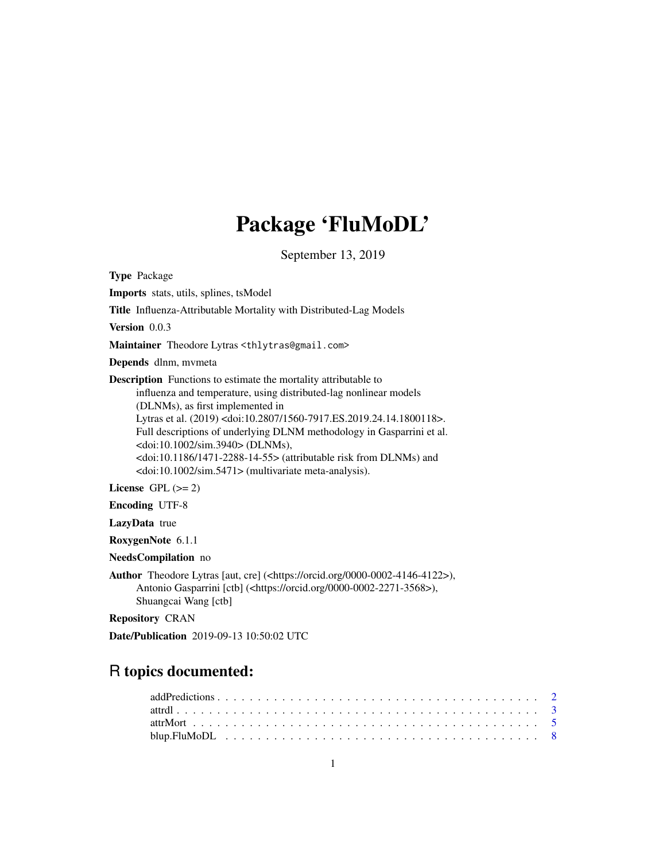## Package 'FluMoDL'

September 13, 2019

<span id="page-0-0"></span>Type Package Imports stats, utils, splines, tsModel Title Influenza-Attributable Mortality with Distributed-Lag Models Version 0.0.3 Maintainer Theodore Lytras <thlytras@gmail.com> Depends dlnm, mvmeta Description Functions to estimate the mortality attributable to influenza and temperature, using distributed-lag nonlinear models (DLNMs), as first implemented in Lytras et al. (2019) <doi:10.2807/1560-7917.ES.2019.24.14.1800118>. Full descriptions of underlying DLNM methodology in Gasparrini et al. <doi:10.1002/sim.3940> (DLNMs), <doi:10.1186/1471-2288-14-55> (attributable risk from DLNMs) and <doi:10.1002/sim.5471> (multivariate meta-analysis). License GPL  $(>= 2)$ Encoding UTF-8 LazyData true RoxygenNote 6.1.1 NeedsCompilation no Author Theodore Lytras [aut, cre] (<https://orcid.org/0000-0002-4146-4122>), Antonio Gasparrini [ctb] (<https://orcid.org/0000-0002-2271-3568>),

Shuangcai Wang [ctb]

Repository CRAN

Date/Publication 2019-09-13 10:50:02 UTC

## R topics documented: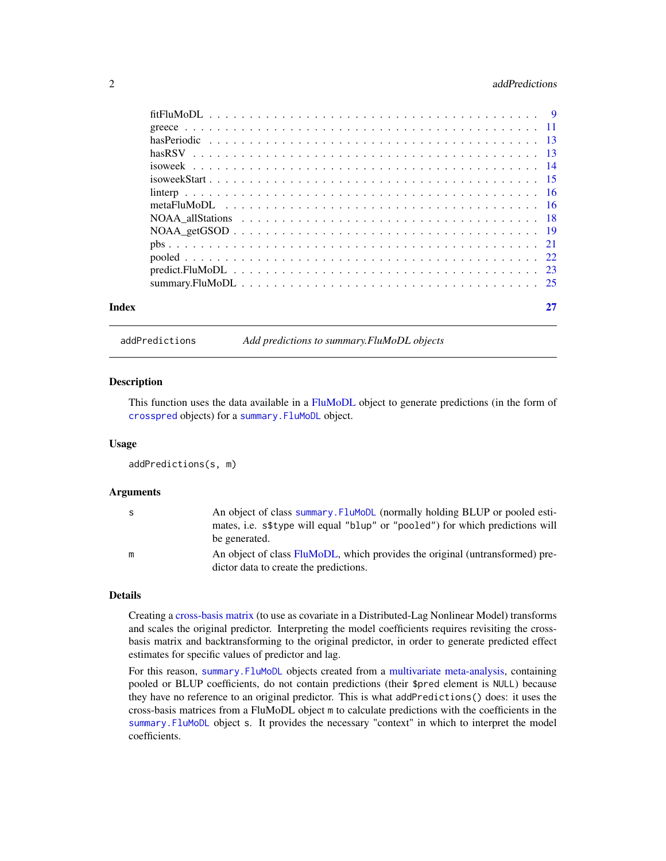#### <span id="page-1-0"></span>2 addPredictions 2

| Index |  |
|-------|--|

addPredictions *Add predictions to summary.FluMoDL objects*

#### Description

This function uses the data available in a [FluMoDL](#page-8-1) object to generate predictions (in the form of [crosspred](#page-0-0) objects) for a [summary.FluMoDL](#page-24-1) object.

#### Usage

addPredictions(s, m)

#### Arguments

| S | An object of class summary. Flumople (normally holding BLUP or pooled esti-   |
|---|-------------------------------------------------------------------------------|
|   | mates, i.e. s\$type will equal "blup" or "pooled") for which predictions will |
|   | be generated.                                                                 |
| m | An object of class FluMoDL, which provides the original (untransformed) pre-  |
|   | dictor data to create the predictions.                                        |

#### Details

Creating a [cross-basis matrix](#page-0-0) (to use as covariate in a Distributed-Lag Nonlinear Model) transforms and scales the original predictor. Interpreting the model coefficients requires revisiting the crossbasis matrix and backtransforming to the original predictor, in order to generate predicted effect estimates for specific values of predictor and lag.

For this reason, summary. FluMoDL objects created from a [multivariate meta-analysis,](#page-15-1) containing pooled or BLUP coefficients, do not contain predictions (their \$pred element is NULL) because they have no reference to an original predictor. This is what addPredictions() does: it uses the cross-basis matrices from a FluMoDL object m to calculate predictions with the coefficients in the [summary.FluMoDL](#page-24-1) object s. It provides the necessary "context" in which to interpret the model coefficients.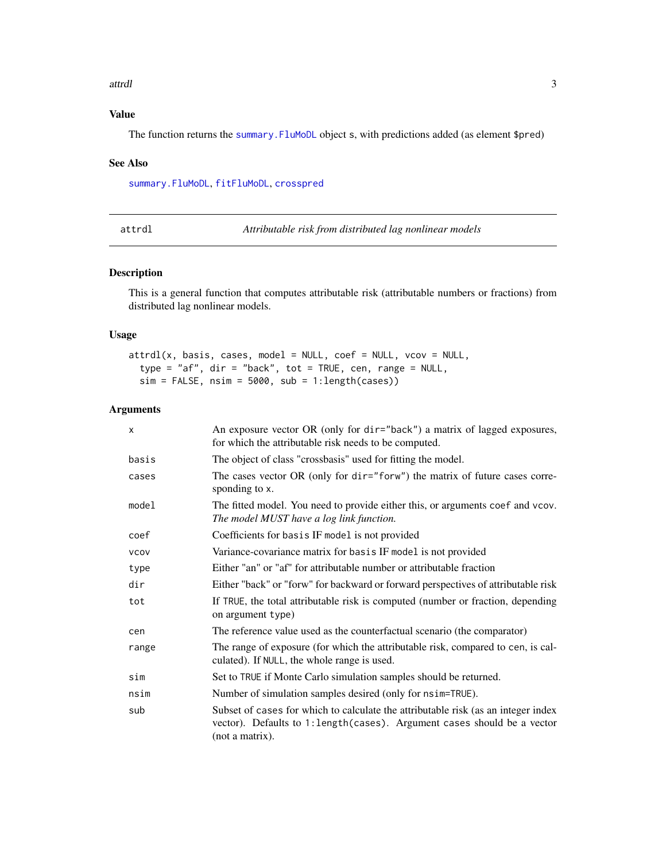#### <span id="page-2-0"></span>attrdl 3

### Value

The function returns the [summary.FluMoDL](#page-24-1) object s, with predictions added (as element \$pred)

#### See Also

[summary.FluMoDL](#page-24-1), [fitFluMoDL](#page-8-1), [crosspred](#page-0-0)

attrdl *Attributable risk from distributed lag nonlinear models*

#### Description

This is a general function that computes attributable risk (attributable numbers or fractions) from distributed lag nonlinear models.

#### Usage

```
atrdl(x, basis, cases, model = NULL, coef = NULL, vcov = NULL,type = "af", dir = "back", tot = TRUE, cen, range = NULL,
  sim = FALSE, nsim = 5000, sub = 1:length(cases)
```
#### Arguments

| X           | An exposure vector OR (only for dir="back") a matrix of lagged exposures,<br>for which the attributable risk needs to be computed.                                                |
|-------------|-----------------------------------------------------------------------------------------------------------------------------------------------------------------------------------|
| basis       | The object of class "crossbasis" used for fitting the model.                                                                                                                      |
| cases       | The cases vector OR (only for dir="forw") the matrix of future cases corre-<br>sponding to x.                                                                                     |
| model       | The fitted model. You need to provide either this, or arguments coef and vcov.<br>The model MUST have a log link function.                                                        |
| coef        | Coefficients for basis IF model is not provided                                                                                                                                   |
| <b>VCOV</b> | Variance-covariance matrix for basis IF model is not provided                                                                                                                     |
| type        | Either "an" or "af" for attributable number or attributable fraction                                                                                                              |
| dir         | Either "back" or "forw" for backward or forward perspectives of attributable risk                                                                                                 |
| tot         | If TRUE, the total attributable risk is computed (number or fraction, depending<br>on argument type)                                                                              |
| cen         | The reference value used as the counterfactual scenario (the comparator)                                                                                                          |
| range       | The range of exposure (for which the attributable risk, compared to cen, is cal-<br>culated). If NULL, the whole range is used.                                                   |
| sim         | Set to TRUE if Monte Carlo simulation samples should be returned.                                                                                                                 |
| nsim        | Number of simulation samples desired (only for nsim=TRUE).                                                                                                                        |
| sub         | Subset of cases for which to calculate the attributable risk (as an integer index<br>vector). Defaults to 1: length (cases). Argument cases should be a vector<br>(not a matrix). |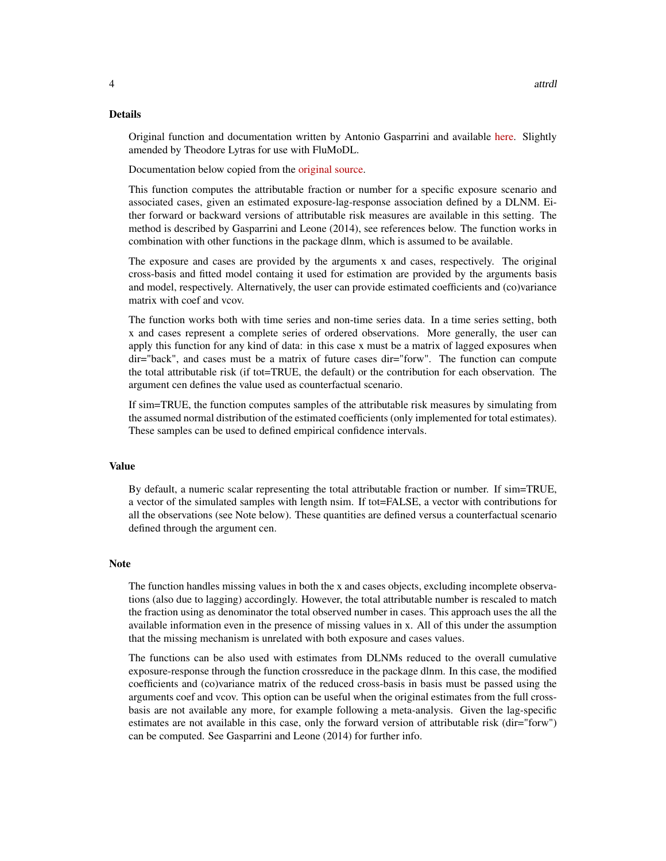#### Details

Original function and documentation written by Antonio Gasparrini and available [here.](https://github.com/gasparrini/2014_gasparrini_BMCmrm_Rcodedata) Slightly amended by Theodore Lytras for use with FluMoDL.

Documentation below copied from the [original source.](https://github.com/gasparrini/2014_gasparrini_BMCmrm_Rcodedata/blob/master/attrdl.pdf)

This function computes the attributable fraction or number for a specific exposure scenario and associated cases, given an estimated exposure-lag-response association defined by a DLNM. Either forward or backward versions of attributable risk measures are available in this setting. The method is described by Gasparrini and Leone (2014), see references below. The function works in combination with other functions in the package dlnm, which is assumed to be available.

The exposure and cases are provided by the arguments x and cases, respectively. The original cross-basis and fitted model containg it used for estimation are provided by the arguments basis and model, respectively. Alternatively, the user can provide estimated coefficients and (co)variance matrix with coef and vcov.

The function works both with time series and non-time series data. In a time series setting, both x and cases represent a complete series of ordered observations. More generally, the user can apply this function for any kind of data: in this case x must be a matrix of lagged exposures when dir="back", and cases must be a matrix of future cases dir="forw". The function can compute the total attributable risk (if tot=TRUE, the default) or the contribution for each observation. The argument cen defines the value used as counterfactual scenario.

If sim=TRUE, the function computes samples of the attributable risk measures by simulating from the assumed normal distribution of the estimated coefficients (only implemented for total estimates). These samples can be used to defined empirical confidence intervals.

#### Value

By default, a numeric scalar representing the total attributable fraction or number. If sim=TRUE, a vector of the simulated samples with length nsim. If tot=FALSE, a vector with contributions for all the observations (see Note below). These quantities are defined versus a counterfactual scenario defined through the argument cen.

#### Note

The function handles missing values in both the x and cases objects, excluding incomplete observations (also due to lagging) accordingly. However, the total attributable number is rescaled to match the fraction using as denominator the total observed number in cases. This approach uses the all the available information even in the presence of missing values in x. All of this under the assumption that the missing mechanism is unrelated with both exposure and cases values.

The functions can be also used with estimates from DLNMs reduced to the overall cumulative exposure-response through the function crossreduce in the package dlnm. In this case, the modified coefficients and (co)variance matrix of the reduced cross-basis in basis must be passed using the arguments coef and vcov. This option can be useful when the original estimates from the full crossbasis are not available any more, for example following a meta-analysis. Given the lag-specific estimates are not available in this case, only the forward version of attributable risk (dir="forw") can be computed. See Gasparrini and Leone (2014) for further info.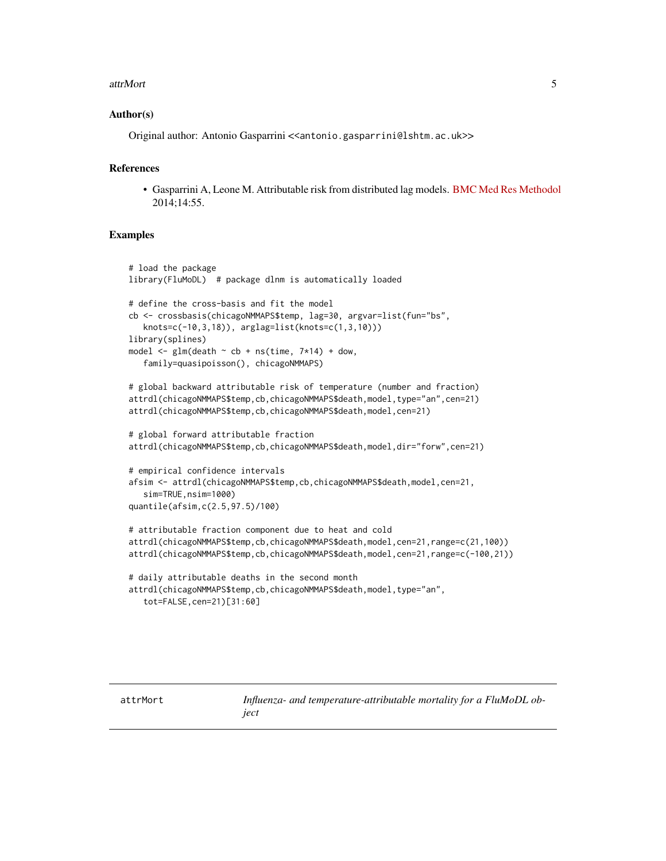#### <span id="page-4-0"></span>attrMort 5

#### Author(s)

Original author: Antonio Gasparrini << antonio.gasparrini@lshtm.ac.uk>>

#### References

• Gasparrini A, Leone M. Attributable risk from distributed lag models. [BMC Med Res Methodol](https://bmcmedresmethodol.biomedcentral.com/articles/10.1186/1471-2288-14-55) 2014;14:55.

#### Examples

```
# load the package
library(FluMoDL) # package dlnm is automatically loaded
# define the cross-basis and fit the model
cb <- crossbasis(chicagoNMMAPS$temp, lag=30, argvar=list(fun="bs",
  knots=c(-10,3,18)), arglag=list(knots=c(1,3,10)))
library(splines)
model \leq glm(death \sim cb + ns(time, 7*14) + dow,
   family=quasipoisson(), chicagoNMMAPS)
# global backward attributable risk of temperature (number and fraction)
attrdl(chicagoNMMAPS$temp,cb,chicagoNMMAPS$death,model,type="an",cen=21)
attrdl(chicagoNMMAPS$temp,cb,chicagoNMMAPS$death,model,cen=21)
# global forward attributable fraction
attrdl(chicagoNMMAPS$temp,cb,chicagoNMMAPS$death,model,dir="forw",cen=21)
# empirical confidence intervals
afsim <- attrdl(chicagoNMMAPS$temp,cb,chicagoNMMAPS$death,model,cen=21,
   sim=TRUE,nsim=1000)
quantile(afsim,c(2.5,97.5)/100)
# attributable fraction component due to heat and cold
attrdl(chicagoNMMAPS$temp,cb,chicagoNMMAPS$death,model,cen=21,range=c(21,100))
attrdl(chicagoNMMAPS$temp,cb,chicagoNMMAPS$death,model,cen=21,range=c(-100,21))
# daily attributable deaths in the second month
attrdl(chicagoNMMAPS$temp,cb,chicagoNMMAPS$death,model,type="an",
   tot=FALSE,cen=21)[31:60]
```
<span id="page-4-1"></span>attrMort *Influenza- and temperature-attributable mortality for a FluMoDL object*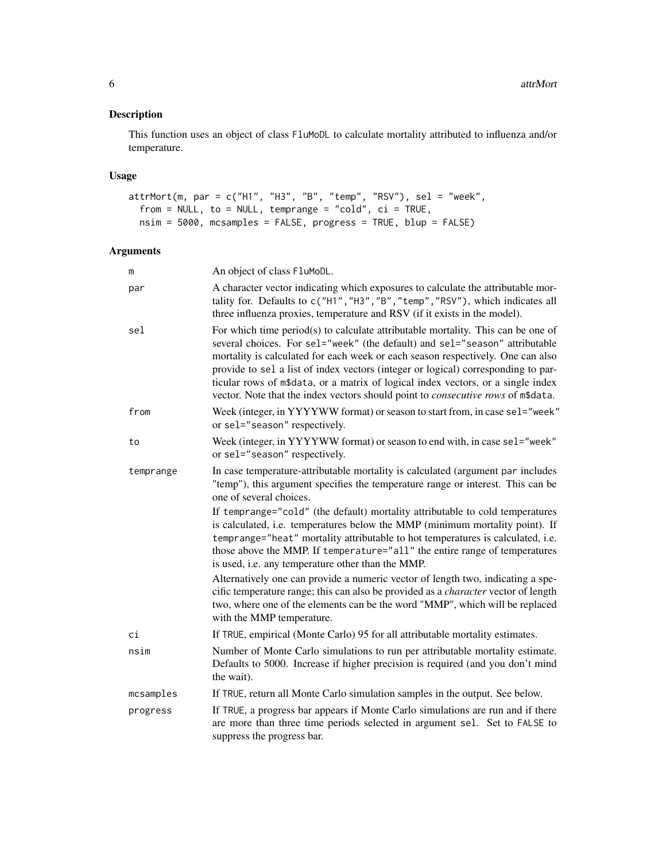#### Description

This function uses an object of class FluMoDL to calculate mortality attributed to influenza and/or temperature.

#### Usage

```
attrMort(m, par = c("H1", "H3", "B", "temp", "RSV"), sel = "week",
 from = NULL, to = NULL, temprange = "cold", ci = TRUE,
 nsim = 5000, mcsamples = FALSE, progress = TRUE, blup = FALSE)
```
### Arguments

| m         | An object of class FluMoDL.                                                                                                                                                                                                                                                                                                                                                                                                                                                                                            |
|-----------|------------------------------------------------------------------------------------------------------------------------------------------------------------------------------------------------------------------------------------------------------------------------------------------------------------------------------------------------------------------------------------------------------------------------------------------------------------------------------------------------------------------------|
| par       | A character vector indicating which exposures to calculate the attributable mor-<br>tality for. Defaults to c("H1", "H3", "B", "temp", "RSV"), which indicates all<br>three influenza proxies, temperature and RSV (if it exists in the model).                                                                                                                                                                                                                                                                        |
| sel       | For which time period(s) to calculate attributable mortality. This can be one of<br>several choices. For sel="week" (the default) and sel="season" attributable<br>mortality is calculated for each week or each season respectively. One can also<br>provide to sel a list of index vectors (integer or logical) corresponding to par-<br>ticular rows of m\$data, or a matrix of logical index vectors, or a single index<br>vector. Note that the index vectors should point to <i>consecutive rows</i> of m\$data. |
| from      | Week (integer, in YYYYWW format) or season to start from, in case sel="week"<br>or sel="season" respectively.                                                                                                                                                                                                                                                                                                                                                                                                          |
| to        | Week (integer, in YYYYWW format) or season to end with, in case sel="week"<br>or sel="season" respectively.                                                                                                                                                                                                                                                                                                                                                                                                            |
| temprange | In case temperature-attributable mortality is calculated (argument par includes<br>"temp"), this argument specifies the temperature range or interest. This can be<br>one of several choices.                                                                                                                                                                                                                                                                                                                          |
|           | If temprange="cold" (the default) mortality attributable to cold temperatures<br>is calculated, i.e. temperatures below the MMP (minimum mortality point). If<br>temprange="heat" mortality attributable to hot temperatures is calculated, i.e.<br>those above the MMP. If temperature="all" the entire range of temperatures<br>is used, i.e. any temperature other than the MMP.                                                                                                                                    |
|           | Alternatively one can provide a numeric vector of length two, indicating a spe-<br>cific temperature range; this can also be provided as a <i>character</i> vector of length<br>two, where one of the elements can be the word "MMP", which will be replaced<br>with the MMP temperature.                                                                                                                                                                                                                              |
| сi        | If TRUE, empirical (Monte Carlo) 95 for all attributable mortality estimates.                                                                                                                                                                                                                                                                                                                                                                                                                                          |
| nsim      | Number of Monte Carlo simulations to run per attributable mortality estimate.<br>Defaults to 5000. Increase if higher precision is required (and you don't mind<br>the wait).                                                                                                                                                                                                                                                                                                                                          |
| mcsamples | If TRUE, return all Monte Carlo simulation samples in the output. See below.                                                                                                                                                                                                                                                                                                                                                                                                                                           |
| progress  | If TRUE, a progress bar appears if Monte Carlo simulations are run and if there<br>are more than three time periods selected in argument sel. Set to FALSE to<br>suppress the progress bar.                                                                                                                                                                                                                                                                                                                            |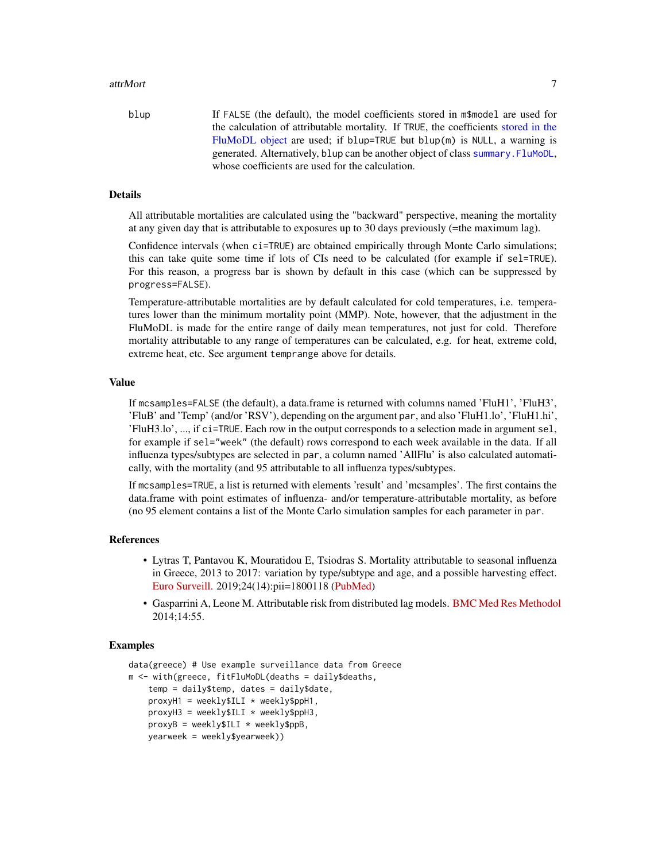#### <span id="page-6-0"></span>attrMort 7 and 7 and 7 and 7 and 7 and 7 and 7 and 7 and 7 and 7 and 7 and 7 and 7 and 7 and 7 and 7 and 7 and 7 and 7 and 7 and 7 and 7 and 7 and 7 and 7 and 7 and 7 and 7 and 7 and 7 and 7 and 7 and 7 and 7 and 7 and 7 a

blup If FALSE (the default), the model coefficients stored in m\$model are used for the calculation of attributable mortality. If TRUE, the coefficients [stored in the](#page-7-1) [FluMoDL object](#page-7-1) are used; if blup=TRUE but blup(m) is NULL, a warning is generated. Alternatively, blup can be another object of class [summary.FluMoDL](#page-24-1), whose coefficients are used for the calculation.

#### Details

All attributable mortalities are calculated using the "backward" perspective, meaning the mortality at any given day that is attributable to exposures up to 30 days previously (=the maximum lag).

Confidence intervals (when ci=TRUE) are obtained empirically through Monte Carlo simulations; this can take quite some time if lots of CIs need to be calculated (for example if sel=TRUE). For this reason, a progress bar is shown by default in this case (which can be suppressed by progress=FALSE).

Temperature-attributable mortalities are by default calculated for cold temperatures, i.e. temperatures lower than the minimum mortality point (MMP). Note, however, that the adjustment in the FluMoDL is made for the entire range of daily mean temperatures, not just for cold. Therefore mortality attributable to any range of temperatures can be calculated, e.g. for heat, extreme cold, extreme heat, etc. See argument temprange above for details.

#### Value

If mcsamples=FALSE (the default), a data.frame is returned with columns named 'FluH1', 'FluH3', 'FluB' and 'Temp' (and/or 'RSV'), depending on the argument par, and also 'FluH1.lo', 'FluH1.hi', 'FluH3.lo', ..., if ci=TRUE. Each row in the output corresponds to a selection made in argument sel, for example if sel="week" (the default) rows correspond to each week available in the data. If all influenza types/subtypes are selected in par, a column named 'AllFlu' is also calculated automatically, with the mortality (and 95 attributable to all influenza types/subtypes.

If mcsamples=TRUE, a list is returned with elements 'result' and 'mcsamples'. The first contains the data.frame with point estimates of influenza- and/or temperature-attributable mortality, as before (no 95 element contains a list of the Monte Carlo simulation samples for each parameter in par.

#### References

- Lytras T, Pantavou K, Mouratidou E, Tsiodras S. Mortality attributable to seasonal influenza in Greece, 2013 to 2017: variation by type/subtype and age, and a possible harvesting effect. [Euro Surveill.](https://www.eurosurveillance.org/content/10.2807/1560-7917.ES.2019.24.14.1800118) 2019;24(14):pii=1800118 [\(PubMed\)](https://www.ncbi.nlm.nih.gov/pubmed/30968823)
- Gasparrini A, Leone M. Attributable risk from distributed lag models. [BMC Med Res Methodol](https://bmcmedresmethodol.biomedcentral.com/articles/10.1186/1471-2288-14-55) 2014;14:55.

```
data(greece) # Use example surveillance data from Greece
m <- with(greece, fitFluMoDL(deaths = daily$deaths,
   temp = daily$temp, dates = daily$date,
   proxyH1 = weekly$ILI * weekly$ppH1,proxyH3 = weekly$ILI * weekly$ppH3,proxyB = weekly$ILI * weekly$ppB,yearweek = weekly$yearweek))
```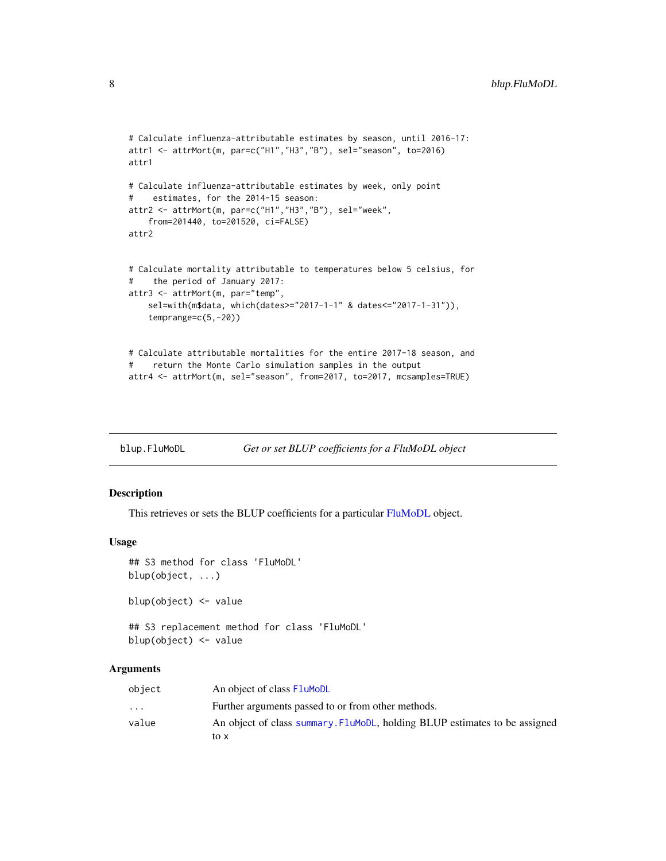```
# Calculate influenza-attributable estimates by season, until 2016-17:
attr1 <- attrMort(m, par=c("H1","H3","B"), sel="season", to=2016)
attr1
# Calculate influenza-attributable estimates by week, only point
# estimates, for the 2014-15 season:
attr2 <- attrMort(m, par=c("H1","H3","B"), sel="week",
    from=201440, to=201520, ci=FALSE)
attr2
# Calculate mortality attributable to temperatures below 5 celsius, for
# the period of January 2017:
attr3 <- attrMort(m, par="temp",
    sel=with(m$data, which(dates>="2017-1-1" & dates<="2017-1-31")),
    temprange=c(5,-20))
# Calculate attributable mortalities for the entire 2017-18 season, and
# return the Monte Carlo simulation samples in the output
attr4 <- attrMort(m, sel="season", from=2017, to=2017, mcsamples=TRUE)
```
<span id="page-7-1"></span>

| blup.FluMoDL |  | Get or set BLUP coefficients for a FluMoDL object |
|--------------|--|---------------------------------------------------|
|              |  |                                                   |

#### Description

This retrieves or sets the BLUP coefficients for a particular [FluMoDL](#page-8-1) object.

#### Usage

```
## S3 method for class 'FluMoDL'
blup(object, ...)
blup(object) <- value
```

```
## S3 replacement method for class 'FluMoDL'
blup(object) <- value
```
#### Arguments

| object                  | An object of class FluMoDL                                                  |
|-------------------------|-----------------------------------------------------------------------------|
| $\cdot$ $\cdot$ $\cdot$ | Further arguments passed to or from other methods.                          |
| value                   | An object of class summary. Flumople, holding BLUP estimates to be assigned |
|                         | to x                                                                        |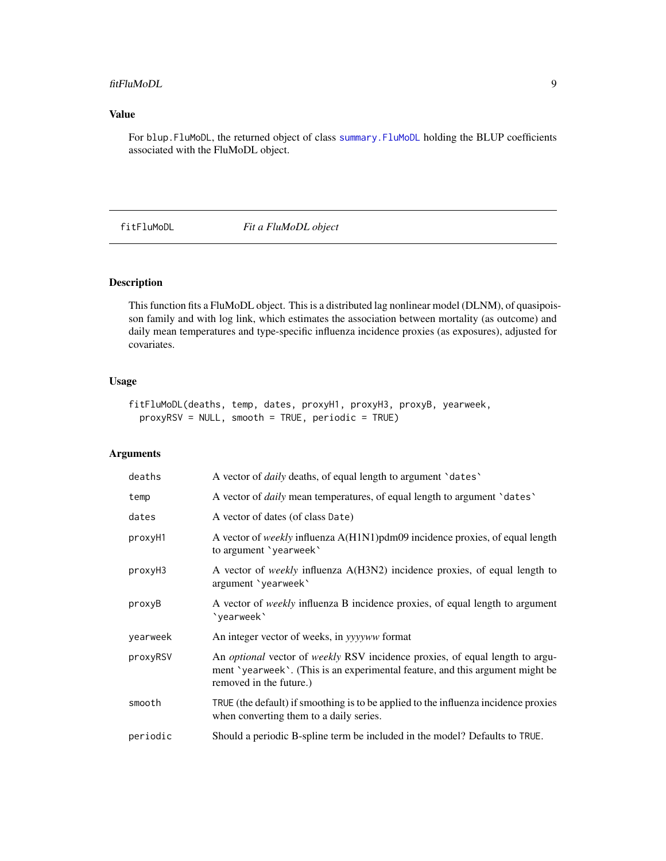#### <span id="page-8-0"></span>fitFluMoDL 9

#### Value

For blup.FluMoDL, the returned object of class [summary.FluMoDL](#page-24-1) holding the BLUP coefficients associated with the FluMoDL object.

<span id="page-8-1"></span>fitFluMoDL *Fit a FluMoDL object*

#### Description

This function fits a FluMoDL object. This is a distributed lag nonlinear model (DLNM), of quasipoisson family and with log link, which estimates the association between mortality (as outcome) and daily mean temperatures and type-specific influenza incidence proxies (as exposures), adjusted for covariates.

#### Usage

```
fitFluMoDL(deaths, temp, dates, proxyH1, proxyH3, proxyB, yearweek,
 proxyRSV = NULL, smooth = TRUE, periodic = TRUE)
```
#### Arguments

| deaths   | A vector of <i>daily</i> deaths, of equal length to argument 'dates'                                                                                                                                   |
|----------|--------------------------------------------------------------------------------------------------------------------------------------------------------------------------------------------------------|
| temp     | A vector of <i>daily</i> mean temperatures, of equal length to argument 'dates'                                                                                                                        |
| dates    | A vector of dates (of class Date)                                                                                                                                                                      |
| proxyH1  | A vector of <i>weekly</i> influenza A(H1N1)pdm09 incidence proxies, of equal length<br>to argument 'yearweek'                                                                                          |
| proxyH3  | A vector of <i>weekly</i> influenza A(H3N2) incidence proxies, of equal length to<br>argument 'yearweek'                                                                                               |
| proxyB   | A vector of <i>weekly</i> influenza B incidence proxies, of equal length to argument<br>'yearweek'                                                                                                     |
| yearweek | An integer vector of weeks, in yyyyww format                                                                                                                                                           |
| proxyRSV | An <i>optional</i> vector of <i>weekly</i> RSV incidence proxies, of equal length to argu-<br>ment 'yearweek'. (This is an experimental feature, and this argument might be<br>removed in the future.) |
| smooth   | TRUE (the default) if smoothing is to be applied to the influenza incidence proxies<br>when converting them to a daily series.                                                                         |
| periodic | Should a periodic B-spline term be included in the model? Defaults to TRUE.                                                                                                                            |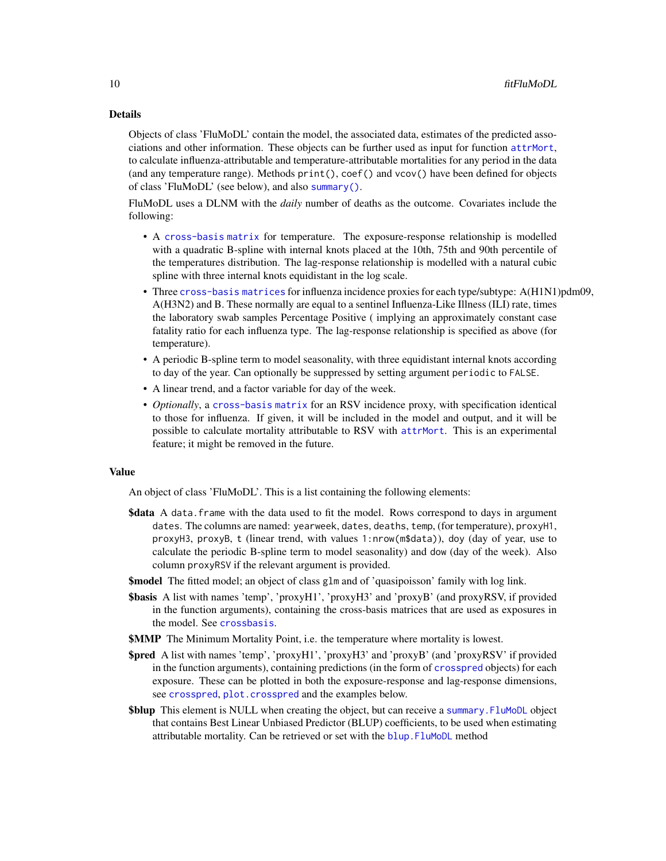#### <span id="page-9-0"></span>Details

Objects of class 'FluMoDL' contain the model, the associated data, estimates of the predicted associations and other information. These objects can be further used as input for function [attrMort](#page-4-1), to calculate influenza-attributable and temperature-attributable mortalities for any period in the data (and any temperature range). Methods print(), coef() and vcov() have been defined for objects of class 'FluMoDL' (see below), and also [summary\(\)](#page-24-1).

FluMoDL uses a DLNM with the *daily* number of deaths as the outcome. Covariates include the following:

- A [cross-basis matrix](#page-0-0) for temperature. The exposure-response relationship is modelled with a quadratic B-spline with internal knots placed at the 10th, 75th and 90th percentile of the temperatures distribution. The lag-response relationship is modelled with a natural cubic spline with three internal knots equidistant in the log scale.
- Three [cross-basis matrices](#page-0-0) for influenza incidence proxies for each type/subtype: A(H1N1)pdm09, A(H3N2) and B. These normally are equal to a sentinel Influenza-Like Illness (ILI) rate, times the laboratory swab samples Percentage Positive ( implying an approximately constant case fatality ratio for each influenza type. The lag-response relationship is specified as above (for temperature).
- A periodic B-spline term to model seasonality, with three equidistant internal knots according to day of the year. Can optionally be suppressed by setting argument periodic to FALSE.
- A linear trend, and a factor variable for day of the week.
- *Optionally*, a [cross-basis matrix](#page-0-0) for an RSV incidence proxy, with specification identical to those for influenza. If given, it will be included in the model and output, and it will be possible to calculate mortality attributable to RSV with [attrMort](#page-4-1). This is an experimental feature; it might be removed in the future.

#### Value

An object of class 'FluMoDL'. This is a list containing the following elements:

- \$data A data. frame with the data used to fit the model. Rows correspond to days in argument dates. The columns are named: yearweek, dates, deaths, temp, (for temperature), proxyH1, proxyH3, proxyB, t (linear trend, with values 1:nrow(m\$data)), doy (day of year, use to calculate the periodic B-spline term to model seasonality) and dow (day of the week). Also column proxyRSV if the relevant argument is provided.
- \$model The fitted model; an object of class glm and of 'quasipoisson' family with log link.
- \$basis A list with names 'temp', 'proxyH1', 'proxyH3' and 'proxyB' (and proxyRSV, if provided in the function arguments), containing the cross-basis matrices that are used as exposures in the model. See [crossbasis](#page-0-0).
- **\$MMP** The Minimum Mortality Point, i.e. the temperature where mortality is lowest.
- \$pred A list with names 'temp', 'proxyH1', 'proxyH3' and 'proxyB' (and 'proxyRSV' if provided in the function arguments), containing predictions (in the form of [crosspred](#page-0-0) objects) for each exposure. These can be plotted in both the exposure-response and lag-response dimensions, see [crosspred](#page-0-0), [plot.crosspred](#page-0-0) and the examples below.
- \$blup This element is NULL when creating the object, but can receive a [summary.FluMoDL](#page-24-1) object that contains Best Linear Unbiased Predictor (BLUP) coefficients, to be used when estimating attributable mortality. Can be retrieved or set with the blup. FluMoDL method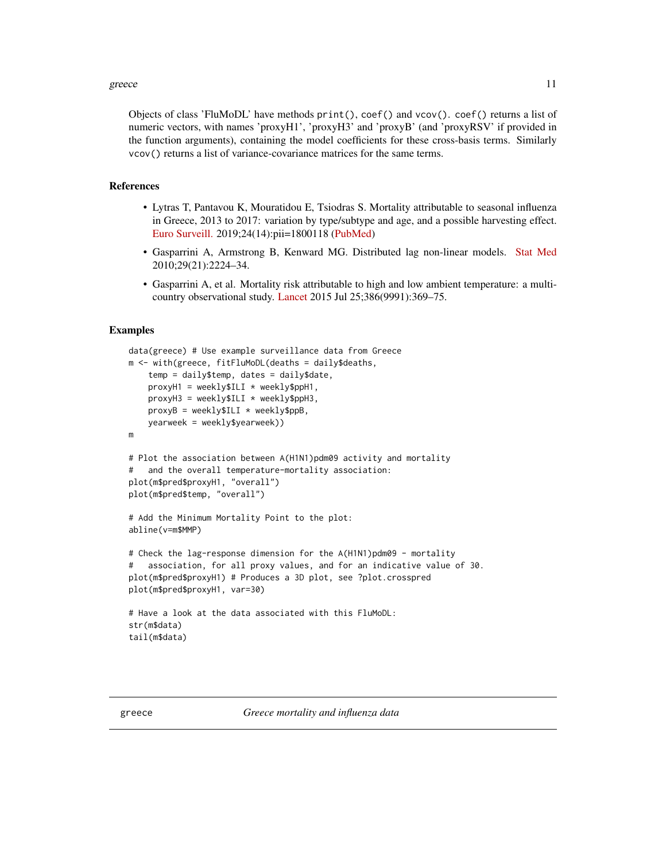#### <span id="page-10-0"></span>greece and the state of the state of the state of the state of the state of the state of the state of the state of the state of the state of the state of the state of the state of the state of the state of the state of the

Objects of class 'FluMoDL' have methods print(), coef() and vcov(). coef() returns a list of numeric vectors, with names 'proxyH1', 'proxyH3' and 'proxyB' (and 'proxyRSV' if provided in the function arguments), containing the model coefficients for these cross-basis terms. Similarly vcov() returns a list of variance-covariance matrices for the same terms.

#### References

- Lytras T, Pantavou K, Mouratidou E, Tsiodras S. Mortality attributable to seasonal influenza in Greece, 2013 to 2017: variation by type/subtype and age, and a possible harvesting effect. [Euro Surveill.](https://www.eurosurveillance.org/content/10.2807/1560-7917.ES.2019.24.14.1800118) 2019;24(14):pii=1800118 [\(PubMed\)](https://www.ncbi.nlm.nih.gov/pubmed/30968823)
- Gasparrini A, Armstrong B, Kenward MG. Distributed lag non-linear models. [Stat Med](https://onlinelibrary.wiley.com/doi/abs/10.1002/sim.3940) 2010;29(21):2224–34.
- Gasparrini A, et al. Mortality risk attributable to high and low ambient temperature: a multicountry observational study. [Lancet](https://www.thelancet.com/journals/lancet/article/PIIS0140-6736(14)62114-0/fulltext) 2015 Jul 25;386(9991):369–75.

```
data(greece) # Use example surveillance data from Greece
m <- with(greece, fitFluMoDL(deaths = daily$deaths,
    temp = daily$temp, dates = daily$date,
    proxyH1 = weekly$ILI * weekly$ppH1,proxyH3 = weekly$ILI * weekly$ppH3,proxvB = weekly$ILI * weekly$ppB,
   yearweek = weekly$yearweek))
m
# Plot the association between A(H1N1)pdm09 activity and mortality
# and the overall temperature-mortality association:
plot(m$pred$proxyH1, "overall")
plot(m$pred$temp, "overall")
# Add the Minimum Mortality Point to the plot:
abline(v=m$MMP)
# Check the lag-response dimension for the A(H1N1)pdm09 - mortality
# association, for all proxy values, and for an indicative value of 30.
plot(m$pred$proxyH1) # Produces a 3D plot, see ?plot.crosspred
plot(m$pred$proxyH1, var=30)
# Have a look at the data associated with this FluMoDL:
str(m$data)
tail(m$data)
```
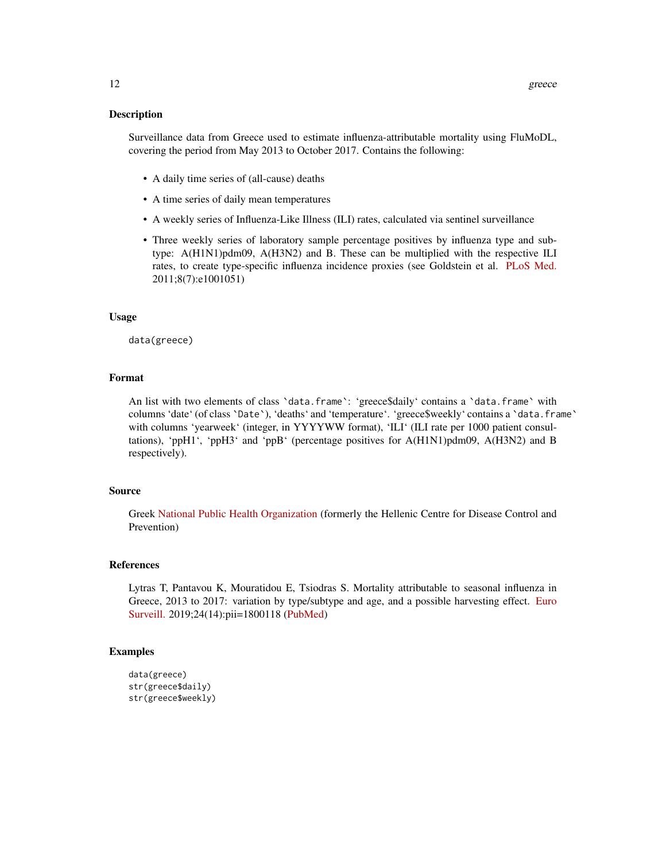#### Description

Surveillance data from Greece used to estimate influenza-attributable mortality using FluMoDL, covering the period from May 2013 to October 2017. Contains the following:

- A daily time series of (all-cause) deaths
- A time series of daily mean temperatures
- A weekly series of Influenza-Like Illness (ILI) rates, calculated via sentinel surveillance
- Three weekly series of laboratory sample percentage positives by influenza type and subtype: A(H1N1)pdm09, A(H3N2) and B. These can be multiplied with the respective ILI rates, to create type-specific influenza incidence proxies (see Goldstein et al. [PLoS Med.](https://journals.plos.org/plosmedicine/article?id=10.1371/journal.pmed.1001051) 2011;8(7):e1001051)

#### Usage

data(greece)

#### Format

An list with two elements of class 'data.frame': 'greece\$daily' contains a 'data.frame' with columns 'date' (of class 'Date'), 'deaths' and 'temperature'. 'greece\$weekly' contains a 'data.frame' with columns 'yearweek' (integer, in YYYYWW format), 'ILI' (ILI rate per 1000 patient consultations), 'ppH1', 'ppH3' and 'ppB' (percentage positives for A(H1N1)pdm09, A(H3N2) and B respectively).

#### Source

Greek [National Public Health Organization](https://eody.gov.gr/en/) (formerly the Hellenic Centre for Disease Control and Prevention)

#### References

Lytras T, Pantavou K, Mouratidou E, Tsiodras S. Mortality attributable to seasonal influenza in Greece, 2013 to 2017: variation by type/subtype and age, and a possible harvesting effect. [Euro](https://www.eurosurveillance.org/content/10.2807/1560-7917.ES.2019.24.14.1800118) [Surveill.](https://www.eurosurveillance.org/content/10.2807/1560-7917.ES.2019.24.14.1800118) 2019;24(14):pii=1800118 [\(PubMed\)](https://www.ncbi.nlm.nih.gov/pubmed/30968823)

```
data(greece)
str(greece$daily)
str(greece$weekly)
```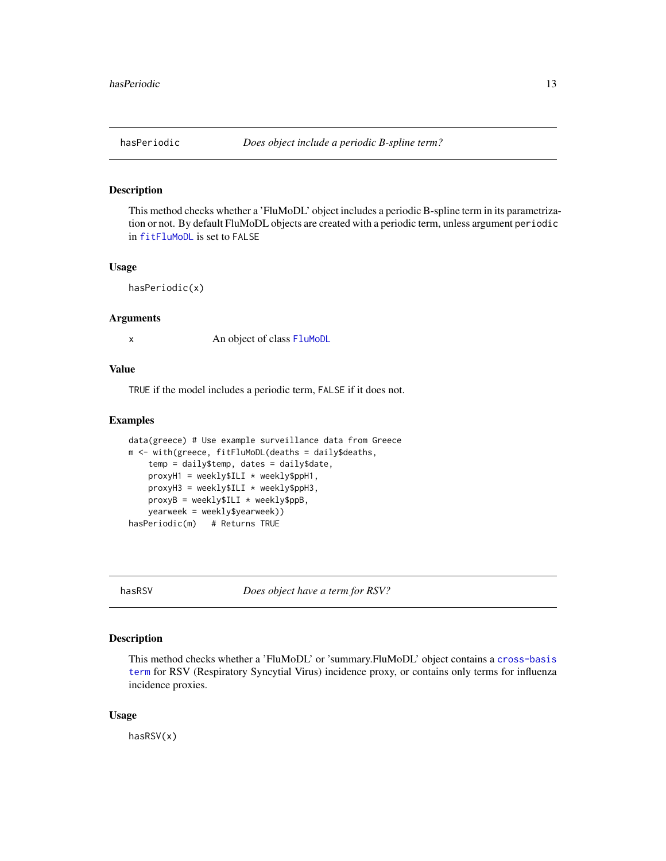<span id="page-12-0"></span>

#### Description

This method checks whether a 'FluMoDL' object includes a periodic B-spline term in its parametrization or not. By default FluMoDL objects are created with a periodic term, unless argument periodic in [fitFluMoDL](#page-8-1) is set to FALSE

#### Usage

hasPeriodic(x)

#### Arguments

x An object of class [FluMoDL](#page-8-1)

#### Value

TRUE if the model includes a periodic term, FALSE if it does not.

#### Examples

```
data(greece) # Use example surveillance data from Greece
m <- with(greece, fitFluMoDL(deaths = daily$deaths,
    temp = daily$temp, dates = daily$date,
   proxyH1 = weekly$ILI * weekly$ppH1,proxyH3 = weekly$ILI * weekly$ppH3,proxyB = weekly$ILI * weekly$ppB,yearweek = weekly$yearweek))
hasPeriodic(m) # Returns TRUE
```
<span id="page-12-1"></span>hasRSV *Does object have a term for RSV?*

#### Description

This method checks whether a 'FluMoDL' or 'summary.FluMoDL' object contains a [cross-basis](#page-0-0) [term](#page-0-0) for RSV (Respiratory Syncytial Virus) incidence proxy, or contains only terms for influenza incidence proxies.

#### Usage

hasRSV(x)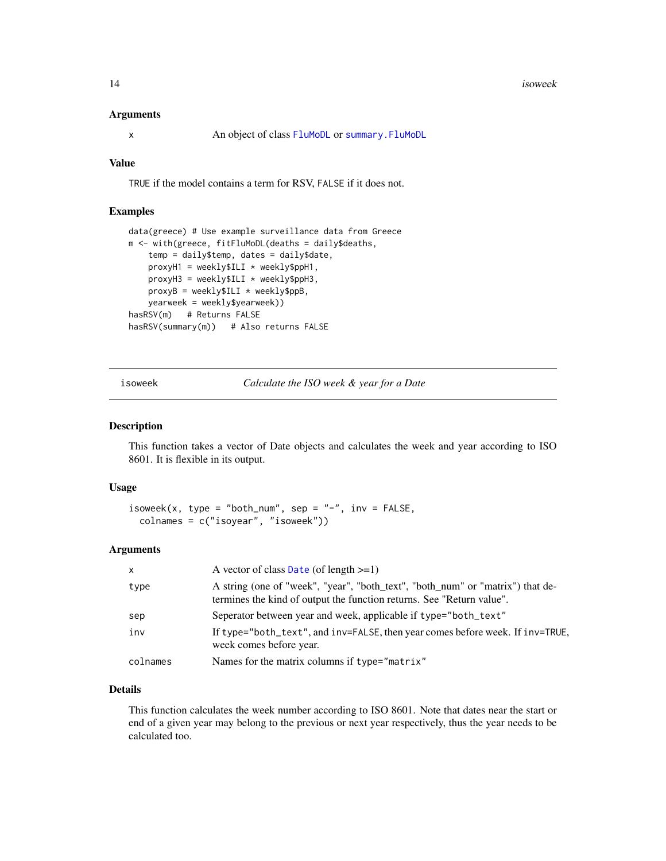#### <span id="page-13-0"></span>Arguments

x An object of class [FluMoDL](#page-8-1) or [summary.FluMoDL](#page-24-1)

#### Value

TRUE if the model contains a term for RSV, FALSE if it does not.

#### Examples

```
data(greece) # Use example surveillance data from Greece
m <- with(greece, fitFluMoDL(deaths = daily$deaths,
   temp = daily$temp, dates = daily$date,
   proxyH1 = weekly$ILI * weekly$ppH1,proxyH3 = weekly$ILI * weekly$ppH3,proxyB = weekly$ILI * weekly$ppB,
   yearweek = weekly$yearweek))
hasRSV(m) # Returns FALSE
hasRSV(summary(m)) # Also returns FALSE
```
<span id="page-13-1"></span>isoweek *Calculate the ISO week & year for a Date*

#### Description

This function takes a vector of Date objects and calculates the week and year according to ISO 8601. It is flexible in its output.

#### Usage

```
isoweek(x, type = "both_num", sep = "-", inv = FALSE,
 colnames = c("isoyear", "isoweek"))
```
#### Arguments

| $\mathsf{x}$ | A vector of class Date (of length $>=1$ )                                                                                                               |
|--------------|---------------------------------------------------------------------------------------------------------------------------------------------------------|
| type         | A string (one of "week", "year", "both_text", "both_num" or "matrix") that de-<br>termines the kind of output the function returns. See "Return value". |
| sep          | Seperator between year and week, applicable if type="both_text"                                                                                         |
| inv          | If type="both_text", and inv=FALSE, then year comes before week. If inv=TRUE,<br>week comes before year.                                                |
| colnames     | Names for the matrix columns if type="matrix"                                                                                                           |

#### Details

This function calculates the week number according to ISO 8601. Note that dates near the start or end of a given year may belong to the previous or next year respectively, thus the year needs to be calculated too.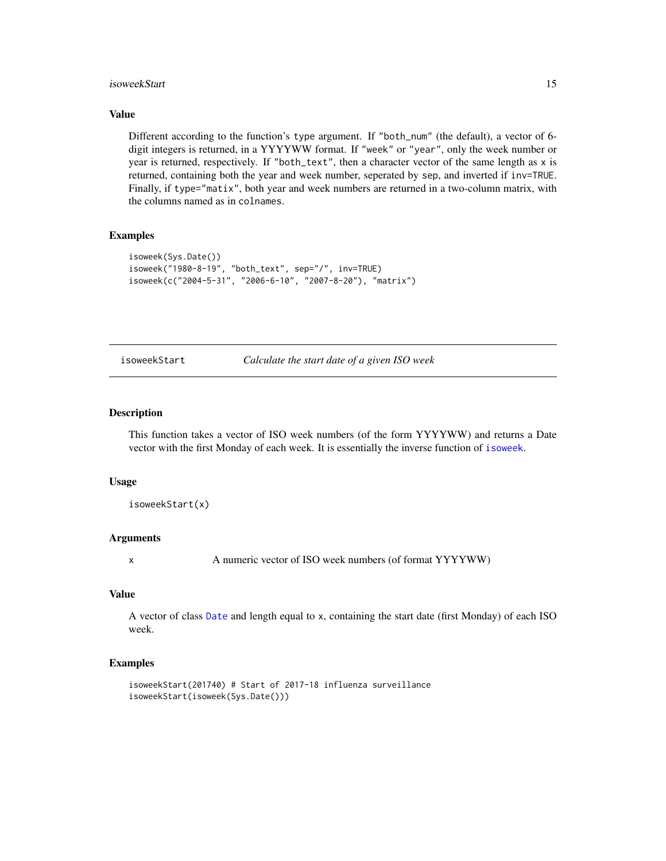#### <span id="page-14-0"></span>isoweekStart 15

#### Value

Different according to the function's type argument. If "both\_num" (the default), a vector of 6 digit integers is returned, in a YYYYWW format. If "week" or "year", only the week number or year is returned, respectively. If "both\_text", then a character vector of the same length as x is returned, containing both the year and week number, seperated by sep, and inverted if inv=TRUE. Finally, if type="matix", both year and week numbers are returned in a two-column matrix, with the columns named as in colnames.

#### Examples

```
isoweek(Sys.Date())
isoweek("1980-8-19", "both_text", sep="/", inv=TRUE)
isoweek(c("2004-5-31", "2006-6-10", "2007-8-20"), "matrix")
```
isoweekStart *Calculate the start date of a given ISO week*

#### Description

This function takes a vector of ISO week numbers (of the form YYYYWW) and returns a Date vector with the first Monday of each week. It is essentially the inverse function of [isoweek](#page-13-1).

#### Usage

```
isoweekStart(x)
```
#### Arguments

x A numeric vector of ISO week numbers (of format YYYYWW)

#### Value

A vector of class [Date](#page-0-0) and length equal to x, containing the start date (first Monday) of each ISO week.

```
isoweekStart(201740) # Start of 2017-18 influenza surveillance
isoweekStart(isoweek(Sys.Date()))
```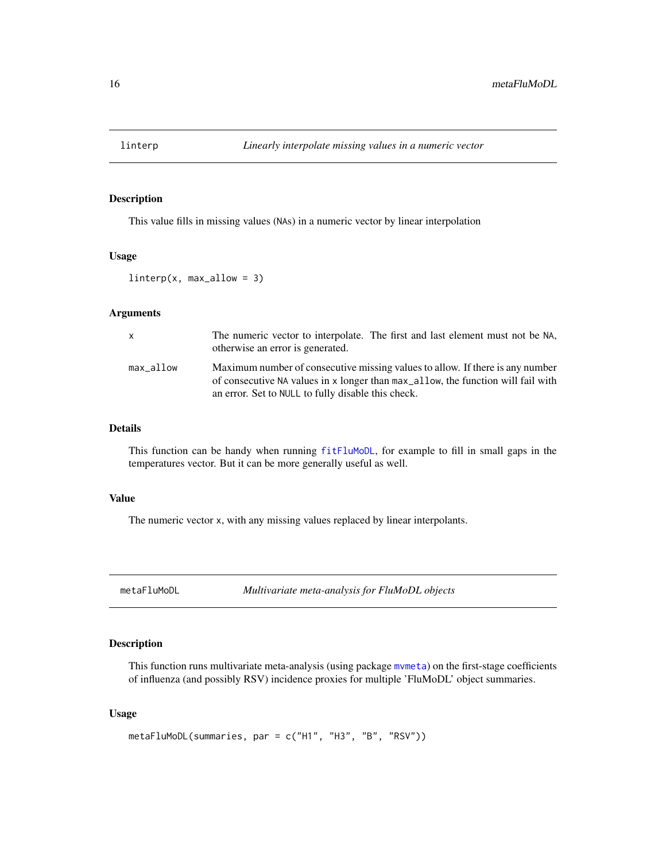<span id="page-15-0"></span>

#### Description

This value fills in missing values (NAs) in a numeric vector by linear interpolation

#### Usage

 $linterp(x, max_a 1, low = 3)$ 

#### Arguments

| x         | The numeric vector to interpolate. The first and last element must not be NA,<br>otherwise an error is generated.                                                                                                       |
|-----------|-------------------------------------------------------------------------------------------------------------------------------------------------------------------------------------------------------------------------|
| max allow | Maximum number of consecutive missing values to allow. If there is any number<br>of consecutive NA values in x longer than max allow, the function will fail with<br>an error. Set to NULL to fully disable this check. |

#### Details

This function can be handy when running [fitFluMoDL](#page-8-1), for example to fill in small gaps in the temperatures vector. But it can be more generally useful as well.

#### Value

The numeric vector x, with any missing values replaced by linear interpolants.

<span id="page-15-1"></span>metaFluMoDL *Multivariate meta-analysis for FluMoDL objects*

#### Description

This function runs multivariate meta-analysis (using package [mvmeta](#page-0-0)) on the first-stage coefficients of influenza (and possibly RSV) incidence proxies for multiple 'FluMoDL' object summaries.

#### Usage

```
metaFluMoDL(summaries, par = c("H1", "H3", "B", "RSV"))
```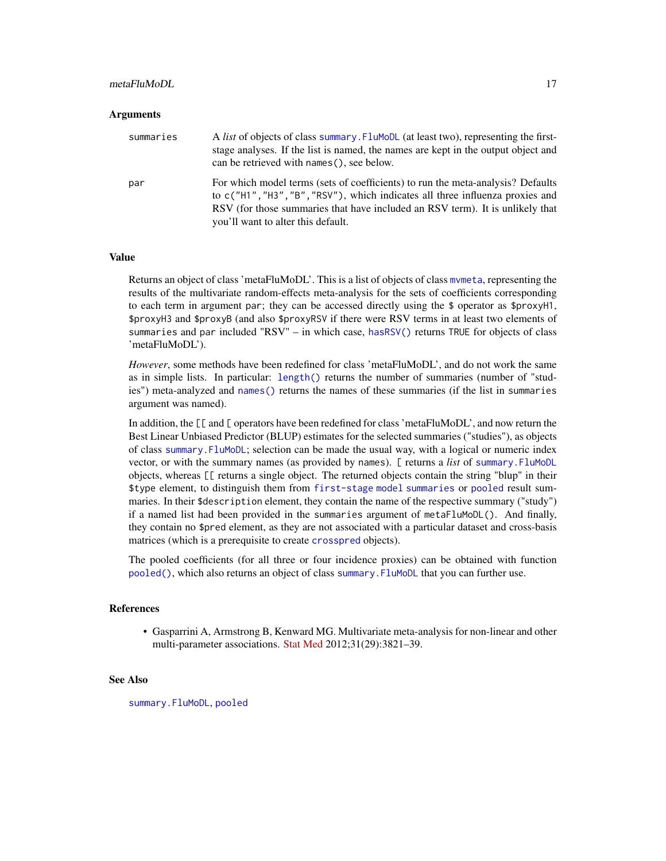#### <span id="page-16-0"></span>metaFluMoDL 17

#### Arguments

| summaries | A <i>list</i> of objects of class summary. FluMoDL (at least two), representing the first-<br>stage analyses. If the list is named, the names are kept in the output object and<br>can be retrieved with names (), see below.                                                           |
|-----------|-----------------------------------------------------------------------------------------------------------------------------------------------------------------------------------------------------------------------------------------------------------------------------------------|
| par       | For which model terms (sets of coefficients) to run the meta-analysis? Defaults<br>to c("H1", "H3", "B", "RSV"), which indicates all three influenza proxies and<br>RSV (for those summaries that have included an RSV term). It is unlikely that<br>you'll want to alter this default. |

#### Value

Returns an object of class 'metaFluMoDL'. This is a list of objects of class [mvmeta](#page-0-0), representing the results of the multivariate random-effects meta-analysis for the sets of coefficients corresponding to each term in argument par; they can be accessed directly using the \$ operator as \$proxyH1, \$proxyH3 and \$proxyB (and also \$proxyRSV if there were RSV terms in at least two elements of summaries and par included "RSV" – in which case, [hasRSV\(\)](#page-12-1) returns TRUE for objects of class 'metaFluMoDL').

*However*, some methods have been redefined for class 'metaFluMoDL', and do not work the same as in simple lists. In particular: [length\(\)](#page-0-0) returns the number of summaries (number of "studies") meta-analyzed and [names\(\)](#page-0-0) returns the names of these summaries (if the list in summaries argument was named).

In addition, the [[ and [ operators have been redefined for class 'metaFluMoDL', and now return the Best Linear Unbiased Predictor (BLUP) estimates for the selected summaries ("studies"), as objects of class [summary.FluMoDL](#page-24-1); selection can be made the usual way, with a logical or numeric index vector, or with the summary names (as provided by names). [ returns a *list* of [summary.FluMoDL](#page-24-1) objects, whereas [[ returns a single object. The returned objects contain the string "blup" in their \$type element, to distinguish them from [first-stage model summaries](#page-24-1) or [pooled](#page-21-1) result summaries. In their \$description element, they contain the name of the respective summary ("study") if a named list had been provided in the summaries argument of metaFluMoDL(). And finally, they contain no \$pred element, as they are not associated with a particular dataset and cross-basis matrices (which is a prerequisite to create [crosspred](#page-0-0) objects).

The pooled coefficients (for all three or four incidence proxies) can be obtained with function [pooled\(\)](#page-21-1), which also returns an object of class [summary.FluMoDL](#page-24-1) that you can further use.

#### References

• Gasparrini A, Armstrong B, Kenward MG. Multivariate meta-analysis for non-linear and other multi-parameter associations. [Stat Med](https://onlinelibrary.wiley.com/doi/full/10.1002/sim.5471) 2012;31(29):3821–39.

#### See Also

[summary.FluMoDL](#page-24-1), [pooled](#page-21-1)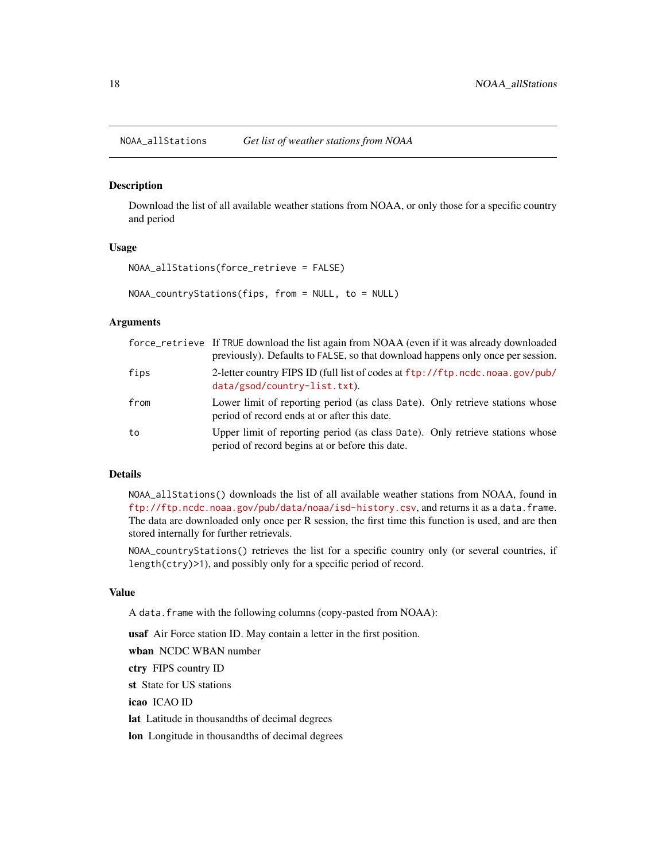<span id="page-17-1"></span><span id="page-17-0"></span>NOAA\_allStations *Get list of weather stations from NOAA*

#### <span id="page-17-2"></span>Description

Download the list of all available weather stations from NOAA, or only those for a specific country and period

#### Usage

```
NOAA_allStations(force_retrieve = FALSE)
```
NOAA\_countryStations(fips, from = NULL, to = NULL)

#### Arguments

|      | force_retrieve If TRUE download the list again from NOAA (even if it was already downloaded<br>previously). Defaults to FALSE, so that download happens only once per session. |
|------|--------------------------------------------------------------------------------------------------------------------------------------------------------------------------------|
| fips | 2-letter country FIPS ID (full list of codes at ftp://ftp.ncdc.noaa.gov/pub/<br>$data/gsod/country-list.txt$ .                                                                 |
| from | Lower limit of reporting period (as class Date). Only retrieve stations whose<br>period of record ends at or after this date.                                                  |
| to   | Upper limit of reporting period (as class Date). Only retrieve stations whose<br>period of record begins at or before this date.                                               |

#### Details

NOAA\_allStations() downloads the list of all available weather stations from NOAA, found in <ftp://ftp.ncdc.noaa.gov/pub/data/noaa/isd-history.csv>, and returns it as a data.frame. The data are downloaded only once per R session, the first time this function is used, and are then stored internally for further retrievals.

NOAA\_countryStations() retrieves the list for a specific country only (or several countries, if length(ctry)>1), and possibly only for a specific period of record.

#### Value

A data.frame with the following columns (copy-pasted from NOAA):

usaf Air Force station ID. May contain a letter in the first position.

wban NCDC WBAN number

ctry FIPS country ID

st State for US stations

icao ICAO ID

lat Latitude in thousandths of decimal degrees

lon Longitude in thousandths of decimal degrees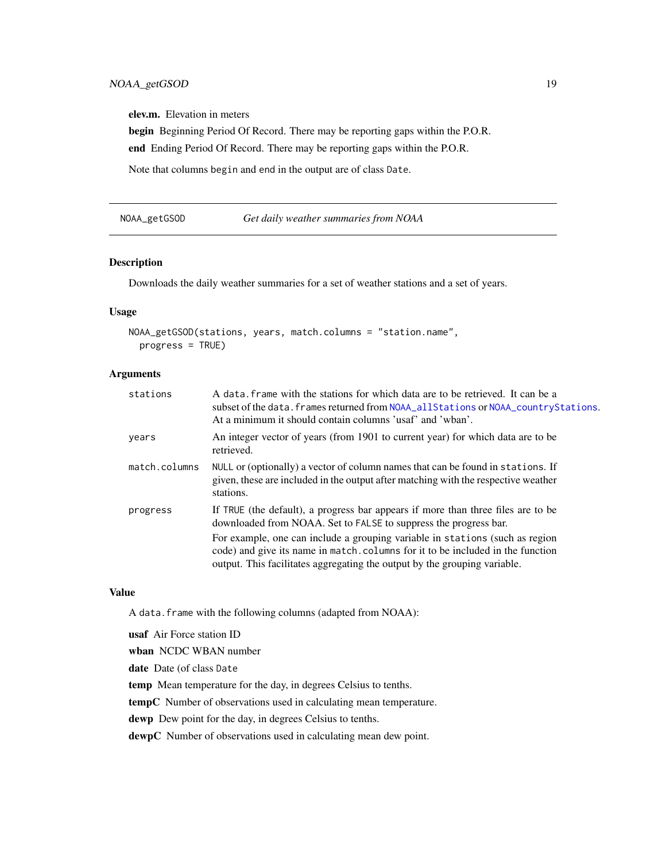<span id="page-18-0"></span>elev.m. Elevation in meters

begin Beginning Period Of Record. There may be reporting gaps within the P.O.R.

end Ending Period Of Record. There may be reporting gaps within the P.O.R.

Note that columns begin and end in the output are of class Date.

NOAA\_getGSOD *Get daily weather summaries from NOAA*

#### Description

Downloads the daily weather summaries for a set of weather stations and a set of years.

#### Usage

```
NOAA_getGSOD(stations, years, match.columns = "station.name",
 progress = TRUE)
```
#### Arguments

| stations      | A data, frame with the stations for which data are to be retrieved. It can be a<br>subset of the data. frames returned from NOAA_allStations or NOAA_countryStations.<br>At a minimum it should contain columns 'usaf' and 'wban'.           |
|---------------|----------------------------------------------------------------------------------------------------------------------------------------------------------------------------------------------------------------------------------------------|
| years         | An integer vector of years (from 1901 to current year) for which data are to be<br>retrieved.                                                                                                                                                |
| match.columns | NULL or (optionally) a vector of column names that can be found in stations. If<br>given, these are included in the output after matching with the respective weather<br>stations.                                                           |
| progress      | If TRUE (the default), a progress bar appears if more than three files are to be<br>downloaded from NOAA. Set to FALSE to suppress the progress bar.                                                                                         |
|               | For example, one can include a grouping variable in stations (such as region<br>code) and give its name in match. columns for it to be included in the function<br>output. This facilitates aggregating the output by the grouping variable. |

#### Value

A data.frame with the following columns (adapted from NOAA):

usaf Air Force station ID wban NCDC WBAN number date Date (of class Date temp Mean temperature for the day, in degrees Celsius to tenths. tempC Number of observations used in calculating mean temperature. dewp Dew point for the day, in degrees Celsius to tenths. dewpC Number of observations used in calculating mean dew point.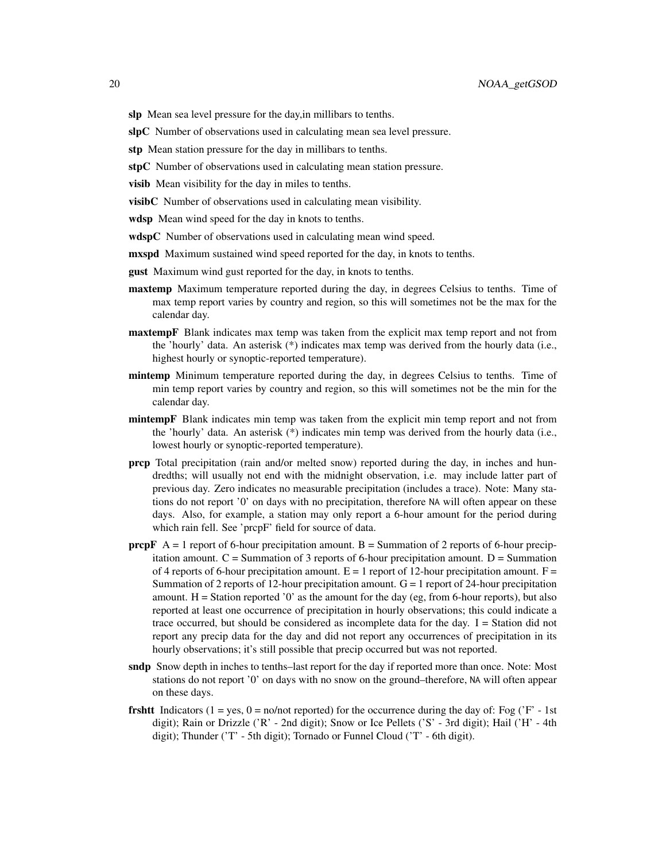- slp Mean sea level pressure for the day, in millibars to tenths.
- slpC Number of observations used in calculating mean sea level pressure.
- stp Mean station pressure for the day in millibars to tenths.
- stpC Number of observations used in calculating mean station pressure.
- visib Mean visibility for the day in miles to tenths.
- visibC Number of observations used in calculating mean visibility.
- wdsp Mean wind speed for the day in knots to tenths.
- wdspC Number of observations used in calculating mean wind speed.
- **mxspd** Maximum sustained wind speed reported for the day, in knots to tenths.
- **gust** Maximum wind gust reported for the day, in knots to tenths.
- **maxtemp** Maximum temperature reported during the day, in degrees Celsius to tenths. Time of max temp report varies by country and region, so this will sometimes not be the max for the calendar day.
- **maxtempF** Blank indicates max temp was taken from the explicit max temp report and not from the 'hourly' data. An asterisk (\*) indicates max temp was derived from the hourly data (i.e., highest hourly or synoptic-reported temperature).
- mintemp Minimum temperature reported during the day, in degrees Celsius to tenths. Time of min temp report varies by country and region, so this will sometimes not be the min for the calendar day.
- mintempF Blank indicates min temp was taken from the explicit min temp report and not from the 'hourly' data. An asterisk (\*) indicates min temp was derived from the hourly data (i.e., lowest hourly or synoptic-reported temperature).
- prcp Total precipitation (rain and/or melted snow) reported during the day, in inches and hundredths; will usually not end with the midnight observation, i.e. may include latter part of previous day. Zero indicates no measurable precipitation (includes a trace). Note: Many stations do not report '0' on days with no precipitation, therefore NA will often appear on these days. Also, for example, a station may only report a 6-hour amount for the period during which rain fell. See 'prcpF' field for source of data.
- **prcpF**  $A = 1$  report of 6-hour precipitation amount.  $B =$  Summation of 2 reports of 6-hour precipitation amount.  $C =$  Summation of 3 reports of 6-hour precipitation amount.  $D =$  Summation of 4 reports of 6-hour precipitation amount.  $E = 1$  report of 12-hour precipitation amount.  $F =$ Summation of 2 reports of 12-hour precipitation amount.  $G = 1$  report of 24-hour precipitation amount.  $H =$  Station reported '0' as the amount for the day (eg, from 6-hour reports), but also reported at least one occurrence of precipitation in hourly observations; this could indicate a trace occurred, but should be considered as incomplete data for the day.  $I =$  Station did not report any precip data for the day and did not report any occurrences of precipitation in its hourly observations; it's still possible that precip occurred but was not reported.
- sndp Snow depth in inches to tenths–last report for the day if reported more than once. Note: Most stations do not report '0' on days with no snow on the ground–therefore, NA will often appear on these days.
- **frshtt** Indicators (1 = yes, 0 = no/not reported) for the occurrence during the day of: Fog ( $F 1st$ ) digit); Rain or Drizzle ('R' - 2nd digit); Snow or Ice Pellets ('S' - 3rd digit); Hail ('H' - 4th digit); Thunder ('T' - 5th digit); Tornado or Funnel Cloud ('T' - 6th digit).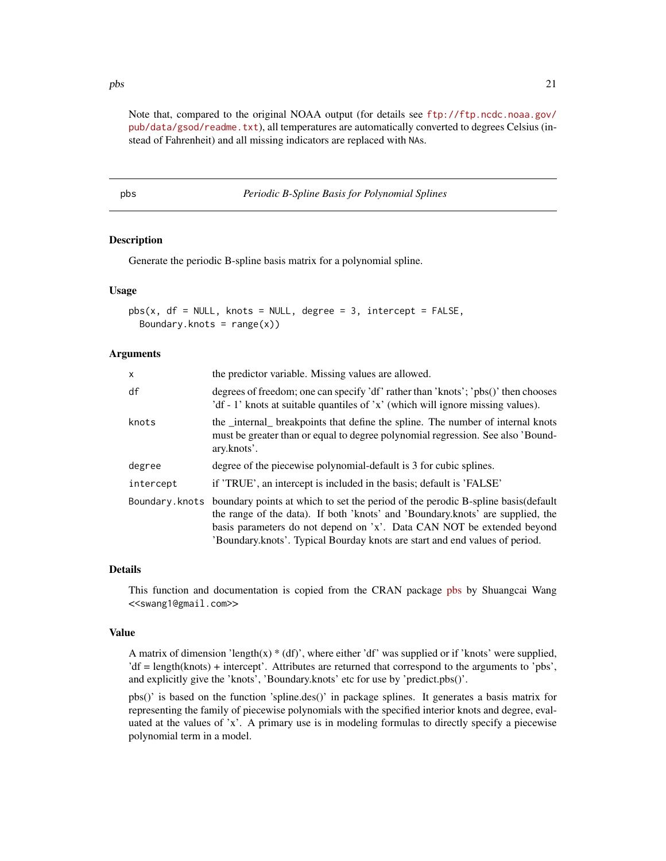<span id="page-20-0"></span> $pbs$  21

Note that, compared to the original NOAA output (for details see [ftp://ftp.ncdc.noaa.gov/](ftp://ftp.ncdc.noaa.gov/pub/data/gsod/readme.txt) [pub/data/gsod/readme.txt](ftp://ftp.ncdc.noaa.gov/pub/data/gsod/readme.txt)), all temperatures are automatically converted to degrees Celsius (instead of Fahrenheit) and all missing indicators are replaced with NAs.

pbs *Periodic B-Spline Basis for Polynomial Splines*

#### **Description**

Generate the periodic B-spline basis matrix for a polynomial spline.

#### Usage

```
pbs(x, df = NULL, knots = NULL, degree = 3, intercept = FALSE,Boundary.knots = range(x))
```
#### Arguments

| X              | the predictor variable. Missing values are allowed.                                                                                                                                                                                                                                                                          |  |
|----------------|------------------------------------------------------------------------------------------------------------------------------------------------------------------------------------------------------------------------------------------------------------------------------------------------------------------------------|--|
| df             | degrees of freedom; one can specify 'df' rather than 'knots'; 'pbs()' then chooses<br>'df - 1' knots at suitable quantiles of 'x' (which will ignore missing values).                                                                                                                                                        |  |
| knots          | the _internal_ breakpoints that define the spline. The number of internal knots<br>must be greater than or equal to degree polynomial regression. See also 'Bound-<br>ary.knots'.                                                                                                                                            |  |
| degree         | degree of the piecewise polynomial-default is 3 for cubic splines.                                                                                                                                                                                                                                                           |  |
| intercept      | if 'TRUE', an intercept is included in the basis; default is 'FALSE'                                                                                                                                                                                                                                                         |  |
| Boundary.knots | boundary points at which to set the period of the perodic B-spline basis (default<br>the range of the data). If both 'knots' and 'Boundary.knots' are supplied, the<br>basis parameters do not depend on 'x'. Data CAN NOT be extended beyond<br>'Boundary.knots'. Typical Bourday knots are start and end values of period. |  |

#### Details

This function and documentation is copied from the CRAN package [pbs](https://CRAN.R-project.org/package=pbs) by Shuangcai Wang <<swang1@gmail.com>>

#### Value

A matrix of dimension 'length(x)  $*(df)$ ', where either 'df' was supplied or if 'knots' were supplied, 'df = length(knots) + intercept'. Attributes are returned that correspond to the arguments to 'pbs', and explicitly give the 'knots', 'Boundary.knots' etc for use by 'predict.pbs()'.

pbs()' is based on the function 'spline.des()' in package splines. It generates a basis matrix for representing the family of piecewise polynomials with the specified interior knots and degree, evaluated at the values of 'x'. A primary use is in modeling formulas to directly specify a piecewise polynomial term in a model.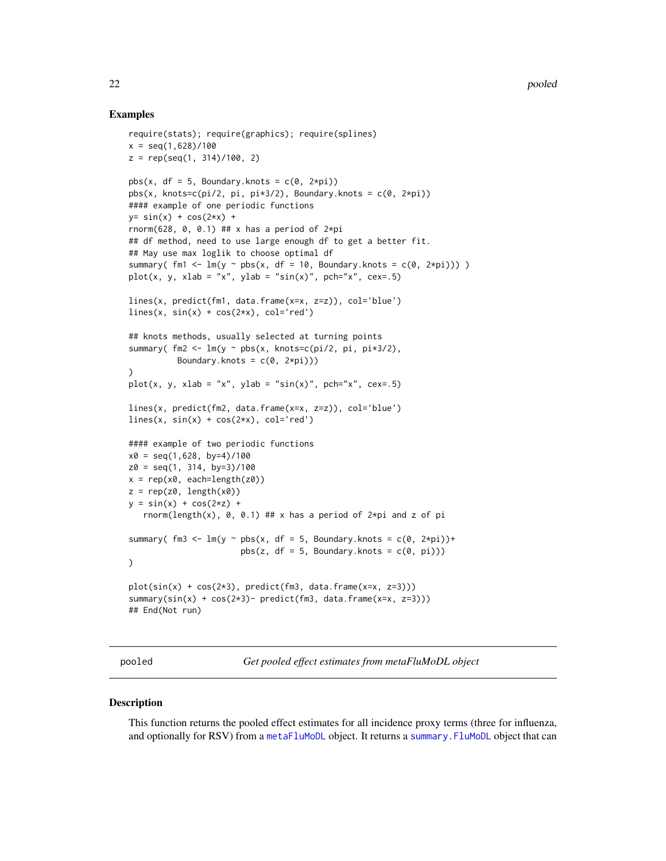#### Examples

```
require(stats); require(graphics); require(splines)
x = \text{seq}(1, 628)/100z = rep(seq(1, 314)/100, 2)pbs(x, df = 5, Boundary.knots = c(\theta, 2*pi))
pbs(x, knots=c(pi/2, pi, pi*3/2), Boundary.knots = c(0, 2*pi))#### example of one periodic functions
y= sin(x) + cos(2*x) +rnorm(628, 0, 0.1) ## x has a period of 2*pi## df method, need to use large enough df to get a better fit.
## May use max loglik to choose optimal df
summary( fm1 <- lm(y \sim pbs(x, df = 10, Boundary.knots = c(0, 2*pi))))
plot(x, y, xlab = "x", ylab = "sin(x)", pch="x", cex=.5)
lines(x, predict(fm1, data.frame(x=x, z=z)), col='blue')
lines(x, sin(x) + cos(2*x), col='red')## knots methods, usually selected at turning points
summary( fm2 \leq \ln(y \sim \text{pbs}(x, \text{knots}=\text{c}(pi/2, \text{pi}, \text{pix}^{3/2}),Boundary.knots = c(0, 2*pi)))
plot(x, y, xlab = "x", ylab = "sin(x)", pch="x", cex=.5)
lines(x, predict(fm2, data.frame(x=x, z=z)), col='blue')
lines(x, sin(x) + cos(2*x), col='red')#### example of two periodic functions
x0 = \text{seq}(1, 628, \text{ by} = 4)/100z0 = seq(1, 314, by=3)/100x = rep(x0, each = length(z0))z = rep(z0, length(x0))y = sin(x) + cos(2*z) +rnorm(length(x), 0, 0.1) ## x has a period of 2*pi and z of pi
summary( fm3 \leq \ln(y \approx \text{pbs}(x, df = 5, Boundary.knots = c(0, 2*pi)) +pbs(z, df = 5, Boundary.knots = c(0, pi)))
plot(sin(x) + cos(2*3), predict(fm3, data.frame(x=x, z=3)))summary(sin(x) + cos(2*3)- predict(fm3, data.frame(x=x, z=3)))
## End(Not run)
```
pooled *Get pooled effect estimates from metaFluMoDL object*

#### **Description**

This function returns the pooled effect estimates for all incidence proxy terms (three for influenza, and optionally for RSV) from a [metaFluMoDL](#page-15-1) object. It returns a [summary.FluMoDL](#page-24-1) object that can

<span id="page-21-0"></span>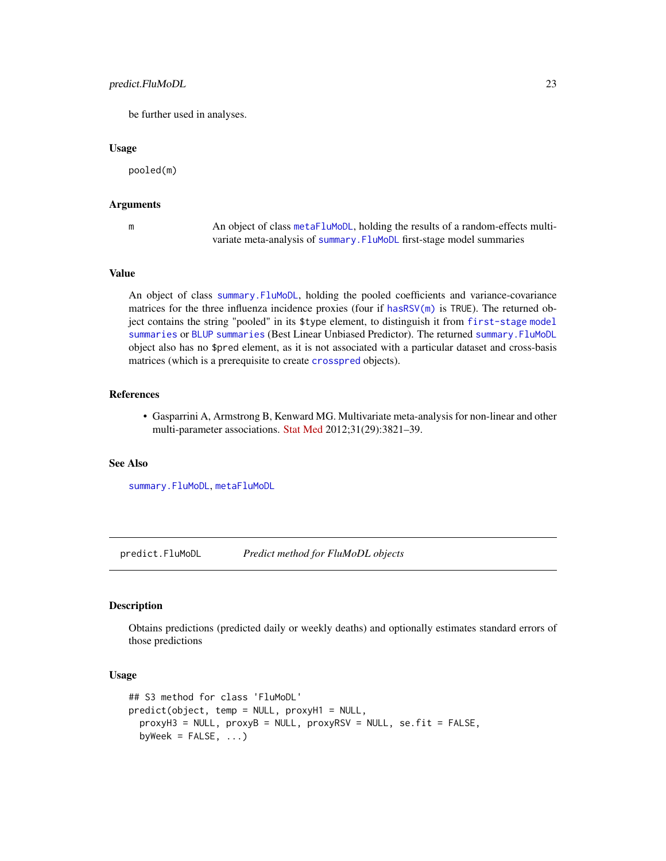#### <span id="page-22-0"></span>predict.FluMoDL 23

be further used in analyses.

#### Usage

pooled(m)

#### Arguments

m An object of class [metaFluMoDL](#page-15-1), holding the results of a random-effects multivariate meta-analysis of [summary.FluMoDL](#page-24-1) first-stage model summaries

#### Value

An object of class [summary.FluMoDL](#page-24-1), holding the pooled coefficients and variance-covariance matrices for the three influenza incidence proxies (four if [hasRSV\(m\)](#page-12-1) is TRUE). The returned object contains the string "pooled" in its \$type element, to distinguish it from [first-stage model](#page-24-1) [summaries](#page-24-1) or [BLUP summaries](#page-15-1) (Best Linear Unbiased Predictor). The returned [summary.FluMoDL](#page-24-1) object also has no \$pred element, as it is not associated with a particular dataset and cross-basis matrices (which is a prerequisite to create [crosspred](#page-0-0) objects).

#### References

• Gasparrini A, Armstrong B, Kenward MG. Multivariate meta-analysis for non-linear and other multi-parameter associations. [Stat Med](https://onlinelibrary.wiley.com/doi/full/10.1002/sim.5471) 2012;31(29):3821–39.

#### See Also

[summary.FluMoDL](#page-24-1), [metaFluMoDL](#page-15-1)

predict.FluMoDL *Predict method for FluMoDL objects*

#### **Description**

Obtains predictions (predicted daily or weekly deaths) and optionally estimates standard errors of those predictions

#### Usage

```
## S3 method for class 'FluMoDL'
predict(object, temp = NULL, proxyH1 = NULL,
 proxyH3 = NULL, proxyB = NULL, proxyRSV = NULL, se.fit = FALSE,
 byWeek = FALSE, ...)
```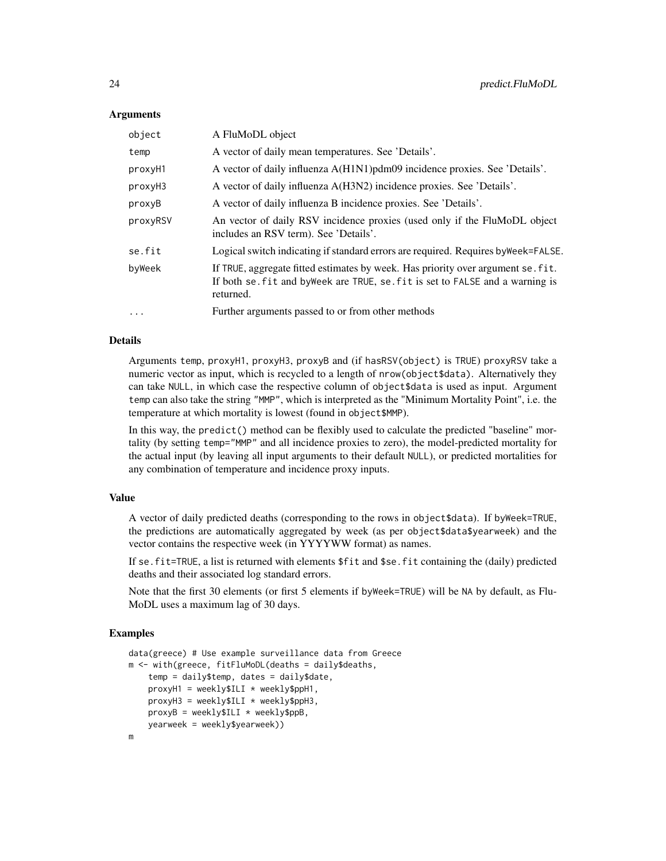#### Arguments

| object   | A FluMoDL object                                                                                                                                                                |  |
|----------|---------------------------------------------------------------------------------------------------------------------------------------------------------------------------------|--|
| temp     | A vector of daily mean temperatures. See 'Details'.                                                                                                                             |  |
| proxyH1  | A vector of daily influenza A(H1N1) pdm09 incidence proxies. See 'Details'.                                                                                                     |  |
| proxyH3  | A vector of daily influenza A(H3N2) incidence proxies. See 'Details'.                                                                                                           |  |
| proxyB   | A vector of daily influenza B incidence proxies. See 'Details'.                                                                                                                 |  |
| proxyRSV | An vector of daily RSV incidence proxies (used only if the FluMoDL object<br>includes an RSV term). See 'Details'.                                                              |  |
| se.fit   | Logical switch indicating if standard errors are required. Requires by Week=FALSE.                                                                                              |  |
| byWeek   | If TRUE, aggregate fitted estimates by week. Has priority over argument se. fit.<br>If both se, fit and by Week are TRUE, se, fit is set to FALSE and a warning is<br>returned. |  |
| $\cdots$ | Further arguments passed to or from other methods                                                                                                                               |  |

#### Details

Arguments temp, proxyH1, proxyH3, proxyB and (if hasRSV(object) is TRUE) proxyRSV take a numeric vector as input, which is recycled to a length of nrow(object\$data). Alternatively they can take NULL, in which case the respective column of object\$data is used as input. Argument temp can also take the string "MMP", which is interpreted as the "Minimum Mortality Point", i.e. the temperature at which mortality is lowest (found in object\$MMP).

In this way, the predict() method can be flexibly used to calculate the predicted "baseline" mortality (by setting temp="MMP" and all incidence proxies to zero), the model-predicted mortality for the actual input (by leaving all input arguments to their default NULL), or predicted mortalities for any combination of temperature and incidence proxy inputs.

#### Value

A vector of daily predicted deaths (corresponding to the rows in object\$data). If byWeek=TRUE, the predictions are automatically aggregated by week (as per object\$data\$yearweek) and the vector contains the respective week (in YYYYWW format) as names.

If se.fit=TRUE, a list is returned with elements \$fit and \$se.fit containing the (daily) predicted deaths and their associated log standard errors.

Note that the first 30 elements (or first 5 elements if byWeek=TRUE) will be NA by default, as Flu-MoDL uses a maximum lag of 30 days.

```
data(greece) # Use example surveillance data from Greece
m <- with(greece, fitFluMoDL(deaths = daily$deaths,
    temp = daily$temp, dates = daily$date,
   proxyH1 = weekly$ILI * weekly$ppH1,proxyH3 = weekly$ILI * weekly$ppH3,proxyB = weekly$ILI * weekly$ppB,yearweek = weekly$yearweek))
m
```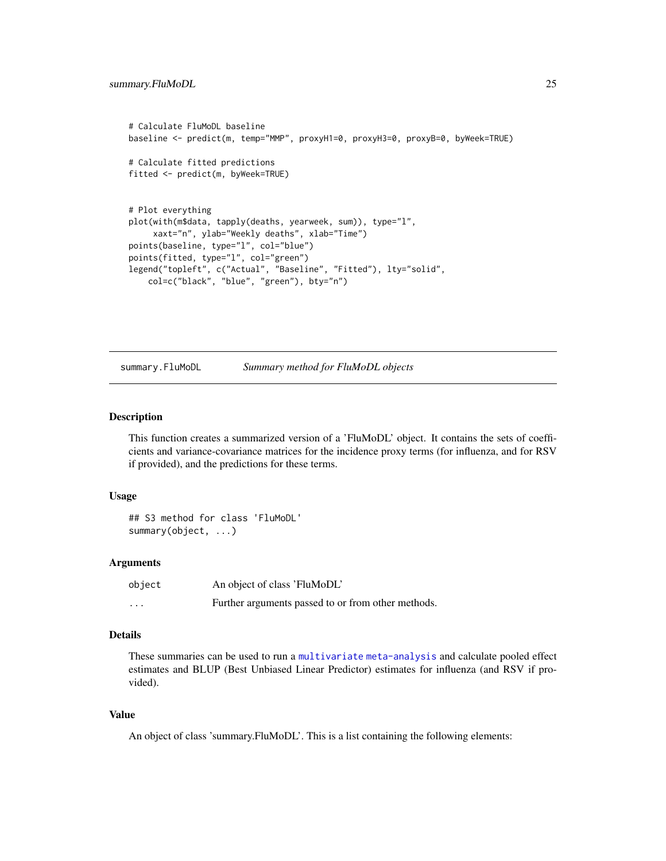```
# Calculate FluMoDL baseline
baseline <- predict(m, temp="MMP", proxyH1=0, proxyH3=0, proxyB=0, byWeek=TRUE)
# Calculate fitted predictions
fitted <- predict(m, byWeek=TRUE)
# Plot everything
plot(with(m$data, tapply(deaths, yearweek, sum)), type="l",
     xaxt="n", ylab="Weekly deaths", xlab="Time")
points(baseline, type="l", col="blue")
points(fitted, type="l", col="green")
legend("topleft", c("Actual", "Baseline", "Fitted"), lty="solid",
    col=c("black", "blue", "green"), bty="n")
```
<span id="page-24-1"></span>summary.FluMoDL *Summary method for FluMoDL objects*

#### Description

This function creates a summarized version of a 'FluMoDL' object. It contains the sets of coefficients and variance-covariance matrices for the incidence proxy terms (for influenza, and for RSV if provided), and the predictions for these terms.

#### Usage

```
## S3 method for class 'FluMoDL'
summary(object, ...)
```
#### **Arguments**

| object   | An object of class 'FluMoDL'                       |
|----------|----------------------------------------------------|
| $\cdots$ | Further arguments passed to or from other methods. |

#### Details

These summaries can be used to run a [multivariate meta-analysis](#page-15-1) and calculate pooled effect estimates and BLUP (Best Unbiased Linear Predictor) estimates for influenza (and RSV if provided).

#### Value

An object of class 'summary.FluMoDL'. This is a list containing the following elements: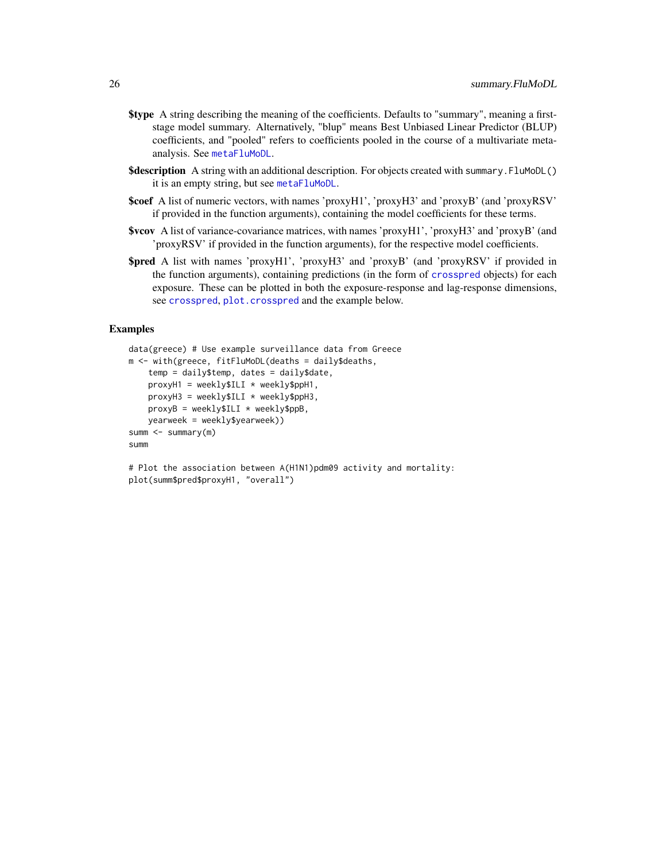- <span id="page-25-0"></span>\$type A string describing the meaning of the coefficients. Defaults to "summary", meaning a firststage model summary. Alternatively, "blup" means Best Unbiased Linear Predictor (BLUP) coefficients, and "pooled" refers to coefficients pooled in the course of a multivariate metaanalysis. See [metaFluMoDL](#page-15-1).
- \$description A string with an additional description. For objects created with summary. FluMoDL() it is an empty string, but see [metaFluMoDL](#page-15-1).
- \$coef A list of numeric vectors, with names 'proxyH1', 'proxyH3' and 'proxyB' (and 'proxyRSV' if provided in the function arguments), containing the model coefficients for these terms.
- \$vcov A list of variance-covariance matrices, with names 'proxyH1', 'proxyH3' and 'proxyB' (and 'proxyRSV' if provided in the function arguments), for the respective model coefficients.
- \$pred A list with names 'proxyH1', 'proxyH3' and 'proxyB' (and 'proxyRSV' if provided in the function arguments), containing predictions (in the form of [crosspred](#page-0-0) objects) for each exposure. These can be plotted in both the exposure-response and lag-response dimensions, see [crosspred](#page-0-0), [plot.crosspred](#page-0-0) and the example below.

```
data(greece) # Use example surveillance data from Greece
m <- with(greece, fitFluMoDL(deaths = daily$deaths,
    temp = daily$temp, dates = daily$date,
   proxyH1 = weekly$ILI * weekly$ppH1,proxyH3 = weekly$ILI * weekly$ppH3,proxyB = weekly$ILI * weekly$ppB,
   yearweek = weekly$yearweek))
summ \leq summary(m)
summ
```

```
# Plot the association between A(H1N1)pdm09 activity and mortality:
plot(summ$pred$proxyH1, "overall")
```